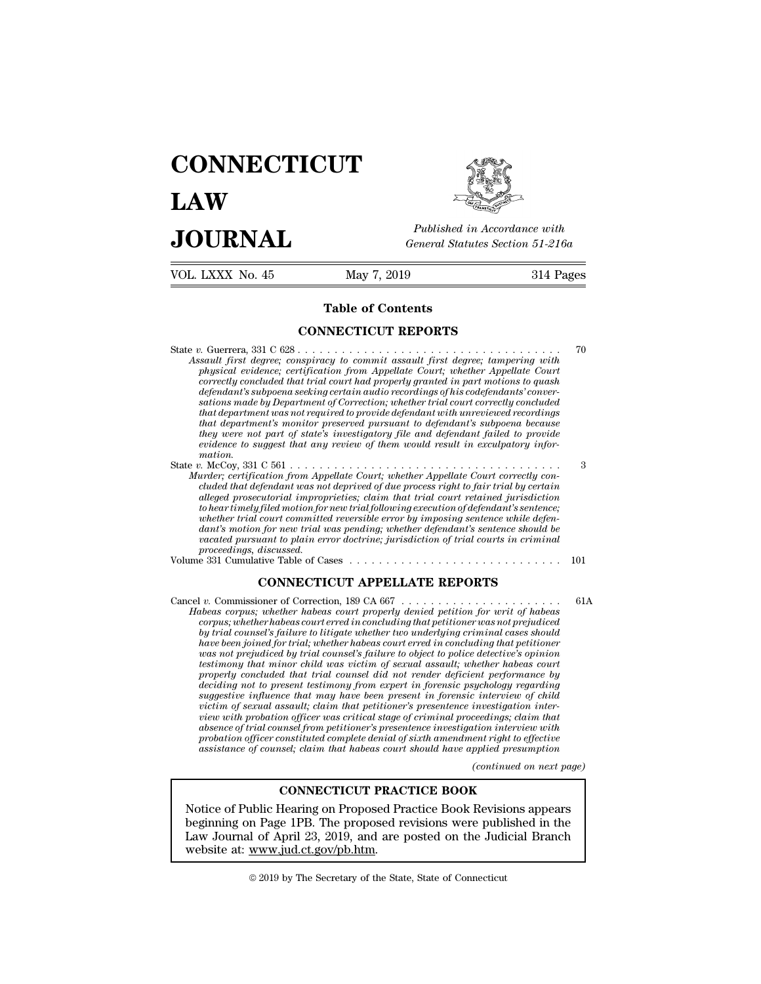# **CONNECTICUT LAW PUBLICE CONNECTICUT**<br> **Published in Accordance with**<br> **JOURNAL** *General Statutes Section 51-216a*<br> **Published in Accordance with**  $\begin{array}{cc}\n\textbf{LAW} & \overbrace{\text{F4}^{\text{sublished}}\text{ in According to the } \text{JOL} \text{ RMX N0. 45}} \\
\textbf{JOL RNM} & \text{General Statistics Section 51-216a} \\
\hline\n\text{VOL LXXX No. 45} & \text{May 7, 2019} & \text{314 Pages}\n\end{array}$



Published in A.<br>
General Statutes<br>
May 7, 2019<br> **Table of Contents**<br> **Table of Contents** 

General Statutes Section<br>
May 7, 2019<br> **Table of Contents<br>
CONNECTICUT REPORTS** State *v.* Guerrera, 331 C 628 . . . . . . . . . . . . . . . . . . . . . . . . . . . . . . . . . . . . <sup>70</sup> **Assault first degree; conspiration of a state of Contents**<br> **Assault first degree; conspiracy to commit assault first degree; tampering with**<br> *physical evidence; conspiracy to commit assault first degree; tampering with* **Fable of Contents**<br> *physical evidence; conspiracy to commit assault first degree; tampering with*<br> *physical evidence; certification from Appellate Court; whether Appellate Court*<br> *physical evidence; certification from* **correctly concluded that trial concluded that trial concluded that trial concluded that trial conclusions of the physical evidence; conspiracy to commit assault first degree; tampering with physical evidence; certificatio defendant** subport of the properties of the product of the degree is an absolute first degree; the physical evidence; conspiracy to commit assault first degree; tampering with physical evidence; certification from Appella **Same CONNECTICUT REPORTS**<br>*sault first degree; conspiracy to commit assault first degree; tampering with*<br>*physical evidence; certification from Appellate Court; whether Appellate Court*<br>*correctly concluded that trial co that department assault first degree; to similar first degree; to similar first degree; to require the physical evidence; certification from Appellate Court; whether Appellate Court correctly concluded that trial court ha that department's monitorically to commit assault first degree; tampering with signal first degree; conspiracy to commit assault first degree; tampering with physical evidence; certification from Appellate Court; whether the may are not degree; conspiracy to commit assault first degree; tampering with* physical evidence; certification from Appellate Court; whether Appellate Court correctly concluded that trial court had properly granted i *exercity concluded that trial court had properly granted in part motions to quash defendant's subpoena seeking certain audio recordings of his codefendants' conversations made by Department of Correction; whether trial co mation.* defendant's subpoena seeking certain audio recordings of his codefendants' conversations made by Department of Correction; whether trial court correctly concluded that department was not required to provide defendant with *Murder; certification from Appellate Court; whether trial court correctly concluded*<br>that department's monitor preserved pursuant to defendant with unreviewed recordings<br>that department's monitor preserved pursuant to def *chat department was not required to provide defendant with unreviewed recordings*<br>that department's monitor preserved pursuant to defendant's subpoena because<br>they were not part of state's investigatory file and defendant

*defendent is monitor preserved pursuant to defendent's subpoena because*<br>they were not part of state's investigatory file and defendant failed to provide<br>evidence to suggest that any review of them would result in exculpa *they were not part of state's investigatory file and defendant failed to provide*<br> *ewidence to suggest that any review of them would result in exculpatory information.*<br> *nation.*<br> *nation for new trial following executi whether trial court committed reversion trial court committed reversion.*<br> *whether, certification from Appellate Court; whether Appellate Court correctly concluded that defendant was not deprived of due process right to dant's motion for new trial was pending; whether defendant's sentence should be vacated pursuant to plain in the court; whether Appellate Court correctly condent defendant was not deprived of due process right to fair trial by certain cluded that defendant amproprieties; claim that trial court retain profer, certification from App*<br>*cluded that defendant was no*<br>*alleged prosecutorial improp<br>to hear timely filed motion for*<br>*whether trial court committe<br>dant's motion for new trial u<br>proceedings, discussed.*<br>e 331 Cumu cluded that defendant was not deprived of due process right to jair trial by certain<br>alleged prosecutorial improprieties; claim that trial court retained jurisdiction<br>to hear timely filed motion for new trial following exe *Contain this holigines is to depread of the process right to just trial of the proprieties;* claim that trial court retained jurisdiction filed motion for new trial following execution of defendant's sentence; court commi dant's motion for new trial was pending; whether defendant's sentence should be<br>vacated pursuant to plain error doctrine; jurisdiction of trial courts in criminal<br>proceedings, discussed.<br>Volume 331 Cumulative Table of Case

*Fabeas corpus; whether habeas court properly denied periodicity of trial courts in criminal*<br>  $\textbf{H}$ abeas corpus; discussed.<br> **Habeas corpus; whether habeas court properly denied petition for writ of habeas**<br>  $\textit{corpus};$  *corpus; discussed.*<br> **corpus:** The of Cases court erred in concluding that performance of Correction, 189 CA 667<br>
(*v.* Commissioner of Correction, 189 CA 667<br>
(*v.* Commissioner of Correction, 189 CA 667<br>
(*v. Commission by trial counsel's failure to consell to litigate whether the point of the commissioner of Correction, 189 CA 667*<br> *by trial counsisting corpus; whether habeas court properly denied petition for writ of habeas corpus; wh* **CONNECTICUT APPELLATE REPORTS**<br>Cancel v. Commissioner of Correction, 189 CA 667<br>*Habeas corpus*; whether habeas court properly denied petition for writ of habeas<br>corpus; whether habeas court erred in concluding that petit *was not prejudiced by trial counsel's failure to object to police detective's opinion testimony that minor correction, 189 CA 667*<br>*thesa corpus; whether habeas court properly denied petition for writ of habeas*<br>*corpus; whether habeas court erred in concluding that petitioner was not prejudiced*<br>*by trial properly concluded that trial counsel did not render deficient performance by decas corpus; whether habeas court property denied petition for writ of habeas* corpus; whether habeas court erred in concluding that petitioner was not prejudiced by trial counsel's failure to litigate whether two underl *suggestive incluence that may have been precented in concluding that petitioner was not prepudiced* by trial counsel's failure to litigate whether two underlying criminal cases should have been joined for trial; whether h *by trual counsel's faulure to litigate whether two underlying criminal cases should have been joined for trial; whether habeas court erred in concluding that petitioner was not prejudiced by trial counsel's failure to obj viaration of the probability whether habeas court erred in concluding that petitioner* was not prejudiced by trial counsel's failure to object to police detective's opinion testimony that minor child was victim of sexual *absence of trial counsels jaune to object to police detective s opinion*<br>testimony that minor child was victim of sexual assault; whether habeas court<br>properly concluded that trial counsel did not render deficient perform *propary that mnor chuld was vectim of sexual assault; whether habeas court* properly concluded that trial counsel did not render deficient performance by deciding not to present testimony from expert in forensic psycholog property concluded that trual counsel did not render deficient performance by<br>deciding not to present testimony from expert in forensic psychology regarding<br>suggestive influence that may have been present in forensic inter *(continued investigation inter-*<br>*(continued inter-*<br>*(continued inter-inversion with ent right to effective<br>pplied presumption<br>(continued on next page)*<br><br>**z** Example, claim that petitioner's presentence investigation intertion officer was critical stage of criminal proceedings; claim that unsel from petitioner's presentence investigation interview with constituted complete deni mew with probation officer was critical stage of criminal proceedings; claim that<br>absence of trial counsel from petitioner's presentence investigation interview with<br>probation officer constituted complete denial of sixth a

beginning on Page 1PB. The proposed Practice *ubertain tractural universed with the effective*<br>beginning of counsel; claim that habeas court should have applied presumption<br>(continued on next page)<br>**CONNECTICUT PRACTICE BO** assistance of counsel; claim that habeas court should have applied presumption<br>
(continued on next page)<br>
CONNECTICUT PRACTICE BOOK<br>
Notice of Public Hearing on Proposed Practice Book Revisions appears<br>
beginning on Page 1 **CONNECTICUT PRAC**<br>Notice of Public Hearing on Proposed Pr<br>beginning on Page 1PB. The proposed re<br>Law Journal of April 23, 2019, and are present website at: www.jud.ct.gov/pb.htm. Notice of Public Hearing on Proposed Practice Book Revisions appears<br>beginning on Page 1PB. The proposed revisions were published in the<br>Law Journal of April 23, 2019, and are posted on the Judicial Branch<br>website at: <u>www</u>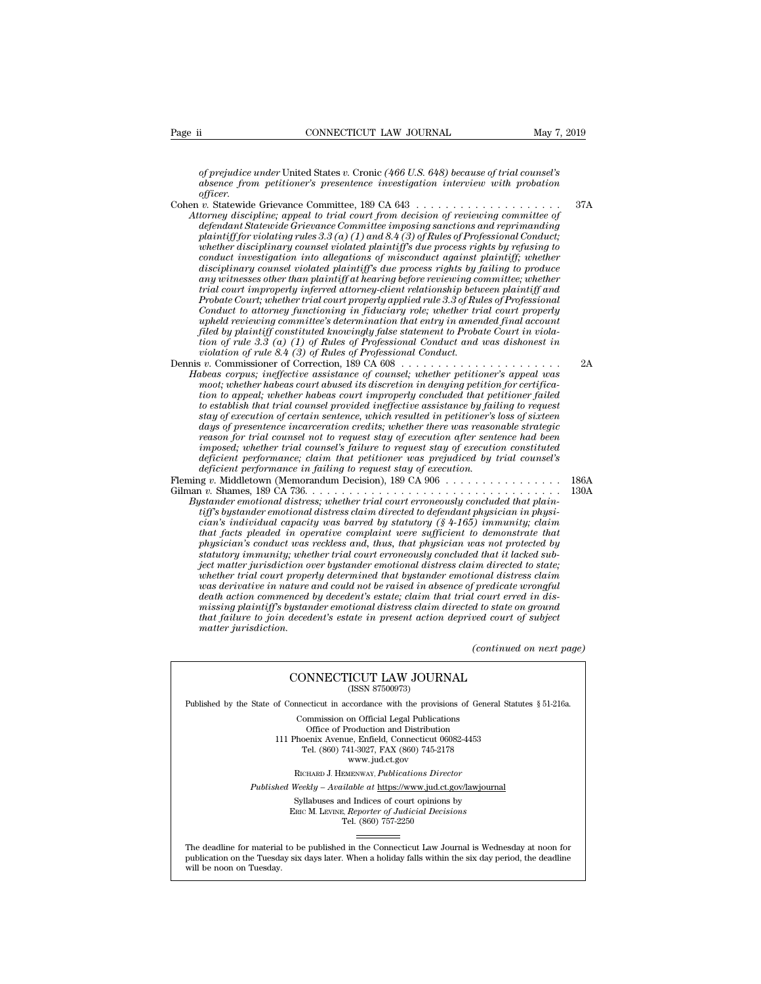*of prejudice under* United States *v.* Cronic *(466 U.S. 648) because of trial counsel's a* **absonce from petitioner's presentence investigation** *absence from petitioner's presentence investigation interview with probation*<br>*absence from petitioner's presentence investigation interview with probation*<br>*offic officer.*

Page ii CONNECTICUT LAW JOURNAL May 7, 2019<br>
of prejudice under United States v. Cronic (466 U.S. 648) because of trial counsel's<br>
absence from petitioner's presentence investigation interview with probation<br>
officer.<br>
Coh *Attorney discrete under United States v. Cronic (466 U.S. 648) because of trial counsel's*<br>absence from petitioner's presentence investigation interview with probation<br>officer.<br>Attorney discipline; appeal to trial court *def* prejudice under United States v. Cronic (466 U.S. 648) because of trial counsel's absence from petitioner's presentence investigation interview with probation officer.<br>
v. Statewide Grievance Committee, 189 CA 643<br>
v *plare in the plaintiff for violation interview with probation absence from petitioner's presentence investigation interview with probation officer.*<br> *plaintiff plaintiff for violating rules 3.3 (a) CA 643*<br> *plaintiff whether disciplinary counsel states v. Cronic (400 U.S. 048) occause of trial counsels absence from petitioner's presentence investigation interview with probation officer.*<br> *w.* Statewide Grievance Committee, 189 CA 643 *conducters promable increases presentence investigation interview with probation*<br> *c.* Statewide Grievance Committee, 189 CA 643<br> *c.* Statewide Grievance Committee imposing sanctions of reviewing committee of<br> *defendan discrement the Grievance Committee, 189 CA 643*<br> *to Statewide Grievance Committee, 189 CA 643*<br> *defendant Statewide Grievance Committee imposing sanctions and reprimanding<br>
plaintiff for violating rules 3.3 (a) (1) and v.* Statewide Grievance Committee, 189 CA 643<br> *aborney discipline; appeal to trial court from decision of reviewing committee of*<br> *adefendant Statewide Grievance Committee imposing sanctions and reprimanding<br>
plaintiff torney discipline; appeal to trial court from decision of reviewing committee of*<br>*defendant Statewide Grievance Committee imposing sanctions and reprimanding<br>plaintiff for violating rules 3.3 (a) (1) and 8.4 (3) of Rules defendant Statewide Grievance Committee imposing sanctions and reprimanding plaintiff for violating rules*  $3.3$  (a) (1) and  $8.4$  (3) of Rules of Professional Conduct; whether disciplinary coursel violated plaintiff's du planntyf for violating rules 3.3 (a) (1) and 8.4 (3) of Rules of Professional Conduct;<br>whether disciplinary counsel violated plaintiff's due process rights by refusing to<br>conduct investigation into allegations of misconduc *uhether disciplinary counsel violated plaintiff's due process rights by refusing to conduct investigation into allegations of misconduct against plaintiff; whether disciplinary counsel violated plaintiff's due process rig for conduct investigation into allegations of misconduct against plaintiff; whether*<br>disciplinary coursel violated plaintiff's due process rights by failing to produce<br>any witnesses other than plaintiff at hearing before *tion of rulessals and the plantity of the process rights by jailing to produce*<br> *tival court improperly inferred attorney-client relationship between plaintiff at<br>
Frobate Court; whether trial court properly applied rule violation of rulesses other than plaintiff at hearing before reviewing co<br>trial court improperly inferred attorney-client relationship betu<br>Probate Court, whether trial court properly applied rule 3.3 of Rules<br>Conduct to* rrial court improperty inferred attorney-citent relationship between plaintiff and<br>Probate Court; whether trial court property applied rule 3.3 of Rules of Professional<br>upheld reviewing committee's determination that entry *Probate Court; whether trad court property applied rule 3.3 of Rules of Professional*<br> *Gonduct to altorney functioning in fiduciary role; whether trial count property<br>
upheld reviewing committee's determination that entr Conduct to ditorney junctioning in juaterary rote; whether trial court property in pheld reviewing committee's determination that entry in amended final account field by plaintiff constituted knowingly false statement to* 

*uphela reviewing committee's aetermination that entry in amenaea jinal account<br>filed by plaintiff constituted knowingly false statement to Probate Court in viola-<br>filen of rule 8.4 (3) of Rules of Professional Conduct and plea by plannty constituted knowingly jase statement to Probate Court in violation of rule 3.3 (a) (1) of Rules of Professional Conduct and was dishonest in violation of rule 8.4 (3) of Rules of Professional Conduct and w stay of rule 3.3 (a) (1) of Rules of Professional Conduct ana was assument in*<br> *i violation of rule 8.4 (3) of Rules of Professional Conduct.*<br> *i v. Commissioner of Correction, 189 CA 608 . . . . . . . . . . . . . . days of presentence incarceration credits; whether there was reasonable strategic reason for the counsel in the counsel is to reade to real the resistance of counsel, whether petitioner's appeal was*<br>moot, whether habeas court abused its discretion in denying petition for certifica-<br>moot, whether habea *ionis; inelfective assistance of counsel; whether petitioners appeat was*<br>moot; whether habeas court abused its discretion in denying petition for certifica-<br>tion to appeal; whether habeas court improperly concluded that *deficient performance; claim that set alsocretion in denying petition for certification to appeal; whether habeas court improperly concluded that petitioner failed to establish that trial counsel provided inefective assi deficient to appeal; whether habeas court improperty concluded that performance to establish that trial counsel provided ineffective assistance by failing of execution of certain sentence, which resulted in petitioner's d we subush that truat counset provided the glective assistance of journy to request*<br>stay of *greecution of certain sentence, which resulted in petitioner's loss of sixteen*<br>days of *greentence incarceration credits; wheth* stay of execution of certain sentence, which resulted in petitioner's loss of sixteen<br>days of presentence incarceration credits; whether there was reasonable strategic<br>reason for trial counsel not to request stay of execut

*Bystander emotional not to request stay of execution differentience had been*<br>*imposed, whether trial counsel's failure to request stay of execution constituted*<br>*deficient performance, claim that petitioner was prejudice reason for trial counsel not to request stay of execution difer sentence had been*<br>*inposed*; whether trial counsel's failure to request stay of execution constituted<br>deficient performance; claim that petitioner was preju *composed, whether trial counsets jauture to request stay of execution constituted*<br>deficient performance; claim that petitioner was prejudiced by trial counsel's<br>deficient performance in failing to request stay of executi *that facts performance; carm had pertroner was prejudiced by trial counsets* deficient performance in failing to request stay of execution.<br> **that facts pleaded in (Neuronalum Decision)**, 189 CA 736. . . . . . . . . . . . *physician's conduct was reckless and, thus, that physician was not protected by statutory immunity; whether trial court erroneously concluded that plainstatuer emotional distress; whether trial court erroneously concluded that plainstatiff's bystander emotional distress claim directed to defendant ph ject matter emotional distress, we heater trial court erroneously concluded that plain-<br>istander emotional distress claim directed to defendant physician in physi-<br>ician's individual capacity was barred by statutory (§ 4whether emotional distress; whether trial court erroneously concluded that plaintiff's bystander emotional distress claim directed to defendant physician in physician is individual capacity was barred by statutory (§ 4-16 was derivative in metalla capacity was barred by statutory (§ 4-165) immunity; claim*<br>cian's individual capacity was barred by statutory (§ 4-165) immunity; claim<br>that facts pleaded in operative complaint were sufficient

*caan's individual capacity was barred by statutory (§ 4-105) immunity; claim*<br>that facts pleaded in operative complaint were sufficient to demonstrate that<br>physician's conduct was reckless and, thus, that physician was no *that jacts pleaded in operative complaint were sufficient to demonstrate that* physician's conduct was reckless and, thus, that physician was not protected by statativity whether trial court erroneously concluded that it physician's conduct was reckless and, thus, that physician was not protected by<br>statutory immunity; whether trial court erroneously concluded that it lacked sub-<br>ject matter jurisdiction over by stander emotional distress ject matter jurisdiction over bystander emotional distress claim directed to state;<br>whether trial court properly determined that bystander emotional distress claim<br>was derivative in nature and could not be raised in absenc *(continued distress claim)*<br>  $(1$  *court erred in disdustate on ground*<br>  $\alpha$  *to state on ground*<br>  $\alpha$  *court of subject*<br>  $(continued on next page)$ ture and could not be raised in absence of predicate wired by decedent's estate; claim that trial court erred<br>protocol and the state in present action directed to state on present action deprived court of<br>decedent's estate

## CONNECTICUT LAW JOURNAL

Published by the State of Connecticut in accordance with the provisions of General Statutes § 51-216a.

CONNECTICUT LAW JOURNAL<br>
(ISSN 87500973)<br>
inecticut in accordance with the provisions of Gener<br>
Commission on Official Legal Publications<br>
Office of Production and Distribution<br>
office of Production and Distribution **NNECTICUT LAW JOURNAL**<br>
(ISSN 87500973)<br>
cticut in accordance with the provisions of Gener<br>
mmission on Official Legal Publications<br>
Office of Production and Distribution<br>
centra Avenue, Enfield, Connecticut 06082-4453<br>
b CONNECTICUT LAW JOURNAL<br>
(ISSN 87500973)<br>
of Connecticut in accordance with the provisions of General Statu<br>
Commission on Official Legal Publications<br>
Office of Production and Distribution<br>
111 Phoenix Avenue, Enfield, Co (ISSN 87500973)<br>ecticut in accordance with the provisions of Gener<br>ommission on Official Legal Publications<br>Office of Production and Distribution<br>oenix Avenue, Enfield, Connecticut 06082-4453<br>Tel. (860) 741-3027, FAX (860 reordance with the provision<br>on Official Legal Publication<br>roduction and Distribution<br>e, Enfield, Connecticut 06<br>11-3027, FAX (860) 745-21'<br>www.jud.ct.gov<br>zENWAY, *Publications Dire* Rommission on Official Legal Publications<br>
Office of Production and Distribution<br>
Phoenix Avenue, Enfield, Connecticut 06082-4453<br>
Tel. (860) 741-3027, FAX (860) 745-2178<br>
www.jud.ct.gov<br>
RICHARD J. HEMENWAY, *Publications* Office of Production and Distribution<br>
111 Phoenix Avenue, Enfield, Connecticut 06082-4453<br>
Tel. (860) 741-3027, FAX (860) 745-2178<br>
www.jud.ct.gov<br>
RICHARD J. HEMENWAY, *Publications Director*<br> *Published Weekly – Availab* Phoenix Avenue, Enfield, Connecticut 06082-4453<br>
Tel. (860) 741-3027, FAX (860) 745-2178<br>
www.jud.ct.gov<br>
RICHARD J. HEMENWAY, *Publications Director*<br>
Weekly – Available at <u>https://www.jud.ct.gov/lawjourna</u><br>
Syllabuses a

 $\begin{array}{c} \text{www. jud.ct.gov} \\ \text{RICHARD J. HEMENTway, *Publications Director} \\ \text{Weekly -- Available at \underline{https://www.jud.ct.gov/}{\text{Syllabuses and Indices of court opinions by} \\ \text{Enc}\text{ M. LexING. } \text{Reporter of \text{Judicial Decisions} \\ \text{Tel. } (860) 757-2250 \end{array}*$ 

Published Weekly – Available at https://www.jud.ct.gov/lawjournal<br>Syllabuses and Indices of court opinions by<br>ERIC M. LEVINE, Reporter of Judicial Decisions<br>The deadline for material to be published in the Connecticut Law  $\begin{tabular}{l} \bf Syllabuses\ and\ Indices\ of\ court\ opinions\ by\\ \bf Enc\ M.\ LevINE,\ \textit{Reporter of\ Judicial\ Decisions}\\ \bf Tel.\ (860)\ 757-2250\\ \end{tabular}$  <br> The deadline for material to be published in the Connecticut Law Journal is Wednesday at noon for publication on the Tuesday six days later The deadline for material<br>publication on the Tuesday.<br>will be noon on Tuesday.